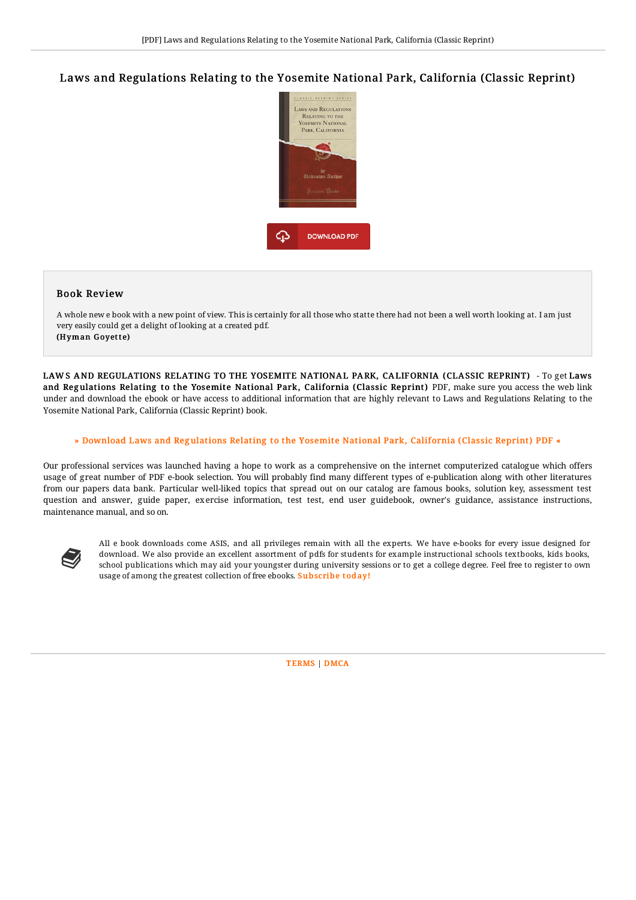## Laws and Regulations Relating to the Yosemite National Park, California (Classic Reprint)



## Book Review

A whole new e book with a new point of view. This is certainly for all those who statte there had not been a well worth looking at. I am just very easily could get a delight of looking at a created pdf. (Hyman Goyette)

LAW S AND REGULATIONS RELATING TO THE YOSEMITE NATIONAL PARK, CALIFORNIA (CLASSIC REPRINT) - To get Laws and Regulations Relating to the Yosemite National Park, California (Classic Reprint) PDF, make sure you access the web link under and download the ebook or have access to additional information that are highly relevant to Laws and Regulations Relating to the Yosemite National Park, California (Classic Reprint) book.

## » Download Laws and Regulations Relating to the Yosemite National Park, [California](http://almighty24.tech/laws-and-regulations-relating-to-the-yosemite-na.html) (Classic Reprint) PDF «

Our professional services was launched having a hope to work as a comprehensive on the internet computerized catalogue which offers usage of great number of PDF e-book selection. You will probably find many different types of e-publication along with other literatures from our papers data bank. Particular well-liked topics that spread out on our catalog are famous books, solution key, assessment test question and answer, guide paper, exercise information, test test, end user guidebook, owner's guidance, assistance instructions, maintenance manual, and so on.



All e book downloads come ASIS, and all privileges remain with all the experts. We have e-books for every issue designed for download. We also provide an excellent assortment of pdfs for students for example instructional schools textbooks, kids books, school publications which may aid your youngster during university sessions or to get a college degree. Feel free to register to own usage of among the greatest collection of free ebooks. **[Subscribe](http://almighty24.tech/laws-and-regulations-relating-to-the-yosemite-na.html) today!**